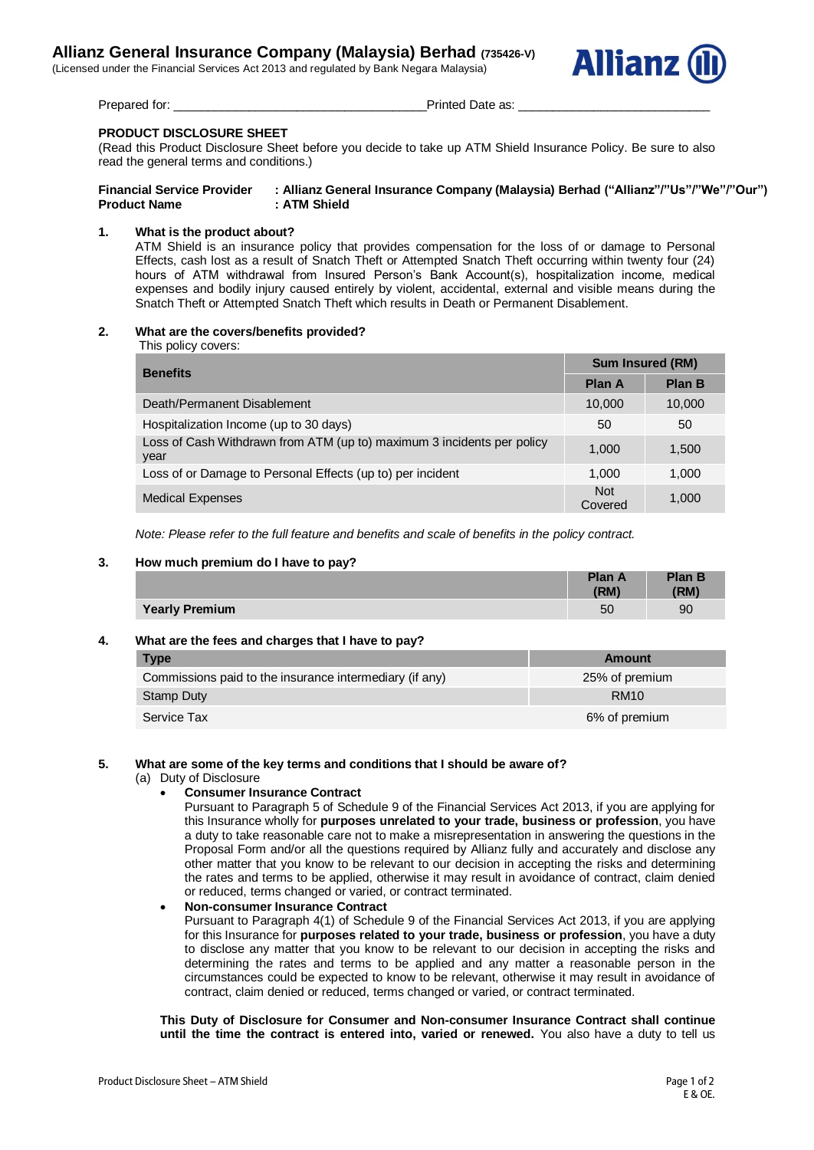(Licensed under the Financial Services Act 2013 and regulated by Bank Negara Malaysia)



Prepared for: example are as: example as: example a printed Date as:  $\blacksquare$ 

# **PRODUCT DISCLOSURE SHEET**

(Read this Product Disclosure Sheet before you decide to take up ATM Shield Insurance Policy. Be sure to also read the general terms and conditions.)

| <b>Financial Service Provider</b> | : Allianz General Insurance Company (Malaysia) Berhad ("Allianz"/"Us"/"We"/"Our") |
|-----------------------------------|-----------------------------------------------------------------------------------|
| <b>Product Name</b>               | : ATM Shield                                                                      |

## **1. What is the product about?**

ATM Shield is an insurance policy that provides compensation for the loss of or damage to Personal Effects, cash lost as a result of Snatch Theft or Attempted Snatch Theft occurring within twenty four (24) hours of ATM withdrawal from Insured Person's Bank Account(s), hospitalization income, medical expenses and bodily injury caused entirely by violent, accidental, external and visible means during the Snatch Theft or Attempted Snatch Theft which results in Death or Permanent Disablement.

### **2. What are the covers/benefits provided?**

This policy covers:

| <b>Benefits</b>                                                                | <b>Sum Insured (RM)</b> |               |
|--------------------------------------------------------------------------------|-------------------------|---------------|
|                                                                                | <b>Plan A</b>           | <b>Plan B</b> |
| Death/Permanent Disablement                                                    | 10,000                  | 10,000        |
| Hospitalization Income (up to 30 days)                                         | 50                      | 50            |
| Loss of Cash Withdrawn from ATM (up to) maximum 3 incidents per policy<br>year | 1.000                   | 1,500         |
| Loss of or Damage to Personal Effects (up to) per incident                     | 1.000                   | 1,000         |
| <b>Medical Expenses</b>                                                        | <b>Not</b><br>Covered   | 1,000         |

*Note: Please refer to the full feature and benefits and scale of benefits in the policy contract.*

### **3. How much premium do I have to pay?**

|                       | <b>Plan A</b><br>(RM) | <b>Plan B</b><br>(RM) |
|-----------------------|-----------------------|-----------------------|
| <b>Yearly Premium</b> | 50                    | 90                    |

## **4. What are the fees and charges that I have to pay?**

| <b>Type</b>                                             | Amount         |
|---------------------------------------------------------|----------------|
| Commissions paid to the insurance intermediary (if any) | 25% of premium |
| Stamp Duty                                              | <b>RM10</b>    |
| Service Tax                                             | 6% of premium  |

## **5. What are some of the key terms and conditions that I should be aware of?**

- (a) Duty of Disclosure
	- **Consumer Insurance Contract**

Pursuant to Paragraph 5 of Schedule 9 of the Financial Services Act 2013, if you are applying for this Insurance wholly for **purposes unrelated to your trade, business or profession**, you have a duty to take reasonable care not to make a misrepresentation in answering the questions in the Proposal Form and/or all the questions required by Allianz fully and accurately and disclose any other matter that you know to be relevant to our decision in accepting the risks and determining the rates and terms to be applied, otherwise it may result in avoidance of contract, claim denied or reduced, terms changed or varied, or contract terminated.

## **Non-consumer Insurance Contract**

Pursuant to Paragraph 4(1) of Schedule 9 of the Financial Services Act 2013, if you are applying for this Insurance for **purposes related to your trade, business or profession**, you have a duty to disclose any matter that you know to be relevant to our decision in accepting the risks and determining the rates and terms to be applied and any matter a reasonable person in the circumstances could be expected to know to be relevant, otherwise it may result in avoidance of contract, claim denied or reduced, terms changed or varied, or contract terminated.

**This Duty of Disclosure for Consumer and Non-consumer Insurance Contract shall continue until the time the contract is entered into, varied or renewed.** You also have a duty to tell us